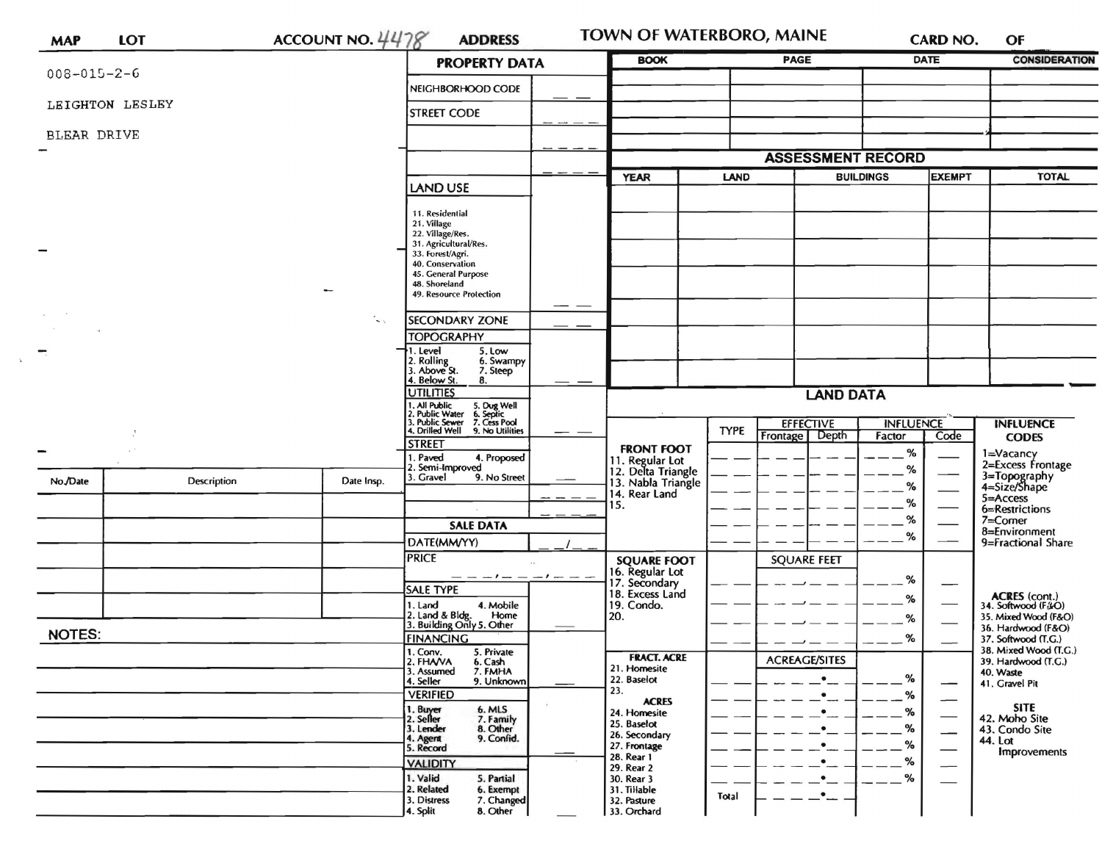| <b>MAP</b>          | LOT             | ACCOUNT NO. $4478$                        | <b>ADDRESS</b>                                                                                                                                                                         |                   | <b>TOWN OF WATERBORO, MAINE</b>                                                            |                   |                          |                  | CARD NO.                                                                                                     | OF                                                                        |  |
|---------------------|-----------------|-------------------------------------------|----------------------------------------------------------------------------------------------------------------------------------------------------------------------------------------|-------------------|--------------------------------------------------------------------------------------------|-------------------|--------------------------|------------------|--------------------------------------------------------------------------------------------------------------|---------------------------------------------------------------------------|--|
|                     |                 |                                           | <b>PROPERTY DATA</b>                                                                                                                                                                   |                   | <b>BOOK</b>                                                                                |                   | <b>PAGE</b>              | <b>DATE</b>      |                                                                                                              | <b>CONSIDERATION</b>                                                      |  |
| $008 - 015 - 2 - 6$ |                 |                                           | NEIGHBORHOOD CODE                                                                                                                                                                      |                   |                                                                                            |                   |                          |                  |                                                                                                              |                                                                           |  |
|                     | LEIGHTON LESLEY |                                           | <b>STREET CODE</b>                                                                                                                                                                     |                   |                                                                                            |                   |                          |                  |                                                                                                              |                                                                           |  |
| BLEAR DRIVE         |                 |                                           |                                                                                                                                                                                        |                   |                                                                                            |                   |                          |                  |                                                                                                              |                                                                           |  |
|                     |                 |                                           |                                                                                                                                                                                        |                   |                                                                                            |                   | <b>ASSESSMENT RECORD</b> |                  |                                                                                                              |                                                                           |  |
|                     |                 |                                           | LAND USE                                                                                                                                                                               |                   | LAND<br><b>YEAR</b>                                                                        |                   | <b>BUILDINGS</b>         |                  | <b>EXEMPT</b>                                                                                                | <b>TOTAL</b>                                                              |  |
|                     |                 |                                           | 11. Residential<br>21. Village<br>22. Village/Res.<br>31. Agricultural/Res.<br>33. Forest/Agri.<br>40. Conservation<br>45. General Purpose<br>48. Shoreland<br>49. Resource Protection |                   |                                                                                            |                   |                          |                  |                                                                                                              |                                                                           |  |
|                     |                 | $\dotsc$                                  | <b>SECONDARY ZONE</b>                                                                                                                                                                  |                   |                                                                                            |                   |                          |                  |                                                                                                              |                                                                           |  |
|                     |                 |                                           | <b>TOPOGRAPHY</b>                                                                                                                                                                      |                   |                                                                                            |                   |                          |                  |                                                                                                              |                                                                           |  |
|                     |                 |                                           | 1. Level<br>5. Low<br>2. Rolling<br>3. Above St.<br>6. Swampy<br>7. Steep<br>4. Below St.<br>8.                                                                                        |                   |                                                                                            |                   |                          |                  |                                                                                                              |                                                                           |  |
|                     |                 |                                           | UTILITIES<br>1. All Public 5. Dug Well<br>2. Public Water 6. Septic<br>3. Public Sewer 7. Cess Pool                                                                                    |                   | <b>LAND DATA</b>                                                                           |                   |                          |                  |                                                                                                              |                                                                           |  |
|                     |                 |                                           |                                                                                                                                                                                        |                   |                                                                                            |                   | <b>EFFECTIVE</b>         | <b>INFLUENCE</b> |                                                                                                              | <b>INFLUENCE</b>                                                          |  |
|                     |                 | 4. Drilled Well 9. No Utilities<br>STREET |                                                                                                                                                                                        | <b>FRONT FOOT</b> | <b>TYPE</b>                                                                                | Depth<br>Frontage | Factor                   | Code             | <b>CODES</b>                                                                                                 |                                                                           |  |
| No./Date            | Description     | Date Insp.                                | . Paved<br>4. Proposed<br>2. Semi-Improved<br>3. Gravel<br>9. No Street                                                                                                                |                   | 11. Regular Lot<br>12. Delta Triangle                                                      |                   | %<br>$\%$<br>℅<br>%      |                  |                                                                                                              | 1=Vacancy<br>2=Excess Frontage<br>3=Topography<br>4=Size/Shape            |  |
|                     |                 |                                           |                                                                                                                                                                                        |                   | 13. Nabla Triangle<br>14. Rear Land                                                        |                   |                          |                  | $5 =$ Access                                                                                                 |                                                                           |  |
|                     |                 |                                           |                                                                                                                                                                                        |                   | 15.                                                                                        |                   |                          | %                |                                                                                                              | 6=Restrictions<br>$7 =$ Comer                                             |  |
|                     |                 |                                           | <b>SALE DATA</b><br>DATE(MM/YY)                                                                                                                                                        |                   |                                                                                            |                   |                          | %                |                                                                                                              | 8=Environment<br>9=Fractional Share                                       |  |
|                     |                 |                                           | <b>PRICE</b>                                                                                                                                                                           |                   | <b>SQUARE FOOT</b>                                                                         |                   | <b>SQUARE FEET</b>       |                  |                                                                                                              |                                                                           |  |
|                     |                 |                                           | $-1$ $ -1$ $ -$<br>SALE TYPE                                                                                                                                                           |                   | 16. Regular Lot<br>17. Secondary<br>18. Excess Land                                        |                   |                          | ℅                | ---                                                                                                          |                                                                           |  |
|                     |                 |                                           | 4. Mobile<br>1. Land                                                                                                                                                                   |                   | 19. Condo.                                                                                 |                   |                          | %                |                                                                                                              | <b>ACRES</b> (cont.)<br>34. Softwood (F&O)                                |  |
|                     |                 |                                           | 2. Land & Bldg. Home<br>3. Building Only 5. Other<br>Home                                                                                                                              |                   | 20.                                                                                        |                   |                          | %                |                                                                                                              | 35. Mixed Wood (F&O)<br>36. Hardwood (F&O)                                |  |
| <b>NOTES:</b>       |                 |                                           | <b>FINANCING</b><br>1. Conv.<br>5. Private                                                                                                                                             |                   |                                                                                            |                   |                          | %                |                                                                                                              | 37. Softwood (T.G.)<br>38. Mixed Wood (T.G.)                              |  |
|                     |                 |                                           | 2. FHAVA<br>6. Cash<br>3. Assumed<br>7. FMHA<br>9. Unknown<br>4. Seller<br><b>VERIFIED</b>                                                                                             |                   | <b>FRACT. ACRE</b><br>21. Homesite<br>22. Baselot<br>23.                                   |                   | <b>ACREAGE/SITES</b>     | %<br>%           | $\qquad \qquad \longleftarrow$                                                                               | 39. Hardwood (T.G.)<br>40. Waste<br>41. Gravel Pit                        |  |
|                     |                 |                                           | 1. Buyer<br>2. Seller<br>6. MLS<br>7. Family<br>3. Lender<br>8. Other<br>9. Confid.<br>4. Agent<br>5. Record                                                                           |                   | <b>ACRES</b><br>24. Homesite<br>25. Baselot<br>26. Secondary<br>27. Frontage<br>28. Rear 1 |                   |                          | ℅<br>%<br>%      | $\overline{\phantom{0}}$<br>$\overline{\phantom{0}}$<br>$\overline{\phantom{0}}$<br>$\overline{\phantom{0}}$ | <b>SITE</b><br>42. Moho Site<br>43. Condo Site<br>44. Lot<br>Improvements |  |
|                     |                 |                                           | <b>VALIDITY</b><br>1. Valid<br>5. Partial<br>2. Related<br>6. Exempt<br>3. Distress<br>7. Changed<br>8. Other<br>4. Split                                                              |                   | 29. Rear 2<br>30. Rear 3<br>31. Tillable<br>32. Pasture<br>33. Orchard                     | Total             | $\bullet$ .              | ℅<br>%           |                                                                                                              |                                                                           |  |